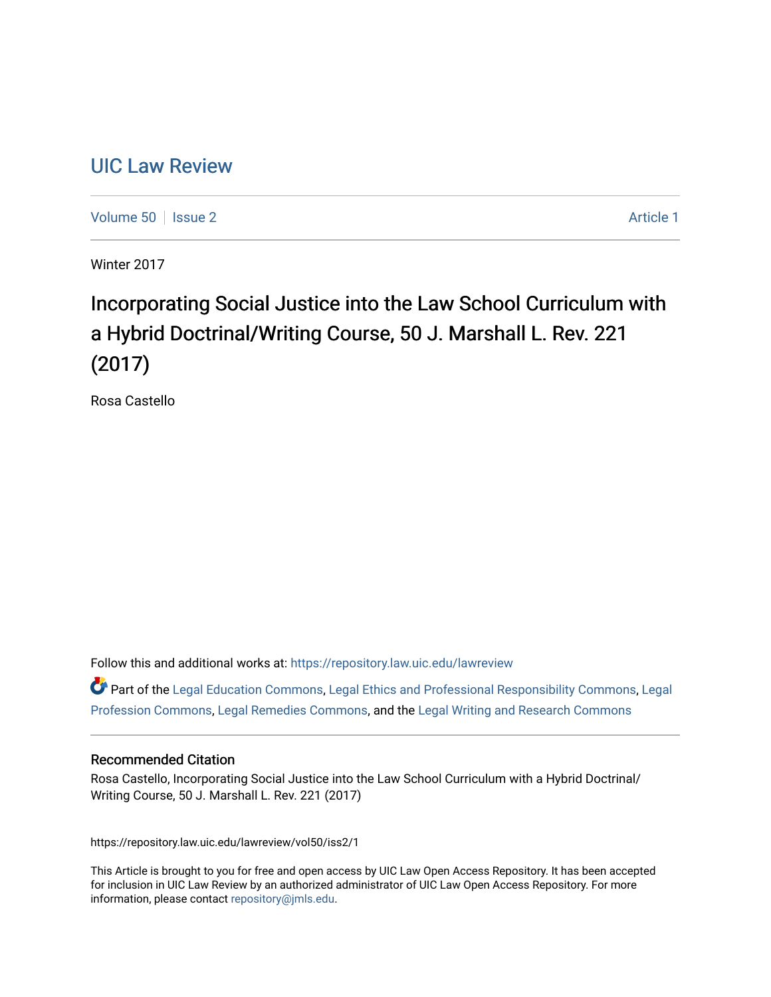## [UIC Law Review](https://repository.law.uic.edu/lawreview)

[Volume 50](https://repository.law.uic.edu/lawreview/vol50) | [Issue 2](https://repository.law.uic.edu/lawreview/vol50/iss2) **Article 1** Article 1

Winter 2017

# Incorporating Social Justice into the Law School Curriculum with a Hybrid Doctrinal/Writing Course, 50 J. Marshall L. Rev. 221 (2017)

Rosa Castello

Follow this and additional works at: [https://repository.law.uic.edu/lawreview](https://repository.law.uic.edu/lawreview?utm_source=repository.law.uic.edu%2Flawreview%2Fvol50%2Fiss2%2F1&utm_medium=PDF&utm_campaign=PDFCoverPages) 

Part of the [Legal Education Commons,](http://network.bepress.com/hgg/discipline/857?utm_source=repository.law.uic.edu%2Flawreview%2Fvol50%2Fiss2%2F1&utm_medium=PDF&utm_campaign=PDFCoverPages) [Legal Ethics and Professional Responsibility Commons](http://network.bepress.com/hgg/discipline/895?utm_source=repository.law.uic.edu%2Flawreview%2Fvol50%2Fiss2%2F1&utm_medium=PDF&utm_campaign=PDFCoverPages), [Legal](http://network.bepress.com/hgg/discipline/1075?utm_source=repository.law.uic.edu%2Flawreview%2Fvol50%2Fiss2%2F1&utm_medium=PDF&utm_campaign=PDFCoverPages) [Profession Commons,](http://network.bepress.com/hgg/discipline/1075?utm_source=repository.law.uic.edu%2Flawreview%2Fvol50%2Fiss2%2F1&utm_medium=PDF&utm_campaign=PDFCoverPages) [Legal Remedies Commons](http://network.bepress.com/hgg/discipline/618?utm_source=repository.law.uic.edu%2Flawreview%2Fvol50%2Fiss2%2F1&utm_medium=PDF&utm_campaign=PDFCoverPages), and the [Legal Writing and Research Commons](http://network.bepress.com/hgg/discipline/614?utm_source=repository.law.uic.edu%2Flawreview%2Fvol50%2Fiss2%2F1&utm_medium=PDF&utm_campaign=PDFCoverPages) 

#### Recommended Citation

Rosa Castello, Incorporating Social Justice into the Law School Curriculum with a Hybrid Doctrinal/ Writing Course, 50 J. Marshall L. Rev. 221 (2017)

https://repository.law.uic.edu/lawreview/vol50/iss2/1

This Article is brought to you for free and open access by UIC Law Open Access Repository. It has been accepted for inclusion in UIC Law Review by an authorized administrator of UIC Law Open Access Repository. For more information, please contact [repository@jmls.edu.](mailto:repository@jmls.edu)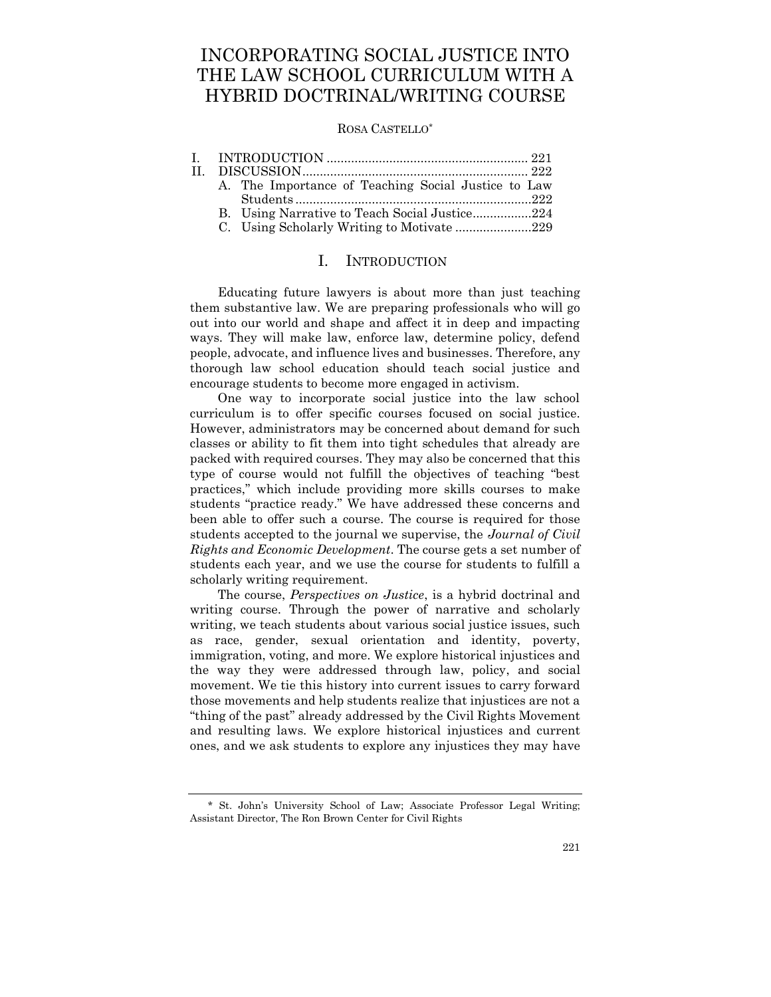## INCORPORATING SOCIAL JUSTICE INTO THE LAW SCHOOL CURRICULUM WITH A HYBRID DOCTRINAL/WRITING COURSE

#### ROSA CASTELLO\*

|  | A. The Importance of Teaching Social Justice to Law |  |
|--|-----------------------------------------------------|--|
|  |                                                     |  |
|  | B. Using Narrative to Teach Social Justice224       |  |
|  |                                                     |  |

#### I. INTRODUCTION

<span id="page-1-0"></span>Educating future lawyers is about more than just teaching them substantive law. We are preparing professionals who will go out into our world and shape and affect it in deep and impacting ways. They will make law, enforce law, determine policy, defend people, advocate, and influence lives and businesses. Therefore, any thorough law school education should teach social justice and encourage students to become more engaged in activism.

One way to incorporate social justice into the law school curriculum is to offer specific courses focused on social justice. However, administrators may be concerned about demand for such classes or ability to fit them into tight schedules that already are packed with required courses. They may also be concerned that this type of course would not fulfill the objectives of teaching "best practices," which include providing more skills courses to make students "practice ready." We have addressed these concerns and been able to offer such a course. The course is required for those students accepted to the journal we supervise, the *Journal of Civil Rights and Economic Development*. The course gets a set number of students each year, and we use the course for students to fulfill a scholarly writing requirement.

The course, *Perspectives on Justice*, is a hybrid doctrinal and writing course. Through the power of narrative and scholarly writing, we teach students about various social justice issues, such as race, gender, sexual orientation and identity, poverty, immigration, voting, and more. We explore historical injustices and the way they were addressed through law, policy, and social movement. We tie this history into current issues to carry forward those movements and help students realize that injustices are not a "thing of the past" already addressed by the Civil Rights Movement and resulting laws. We explore historical injustices and current ones, and we ask students to explore any injustices they may have

<sup>\*</sup> St. John's University School of Law; Associate Professor Legal Writing; Assistant Director, The Ron Brown Center for Civil Rights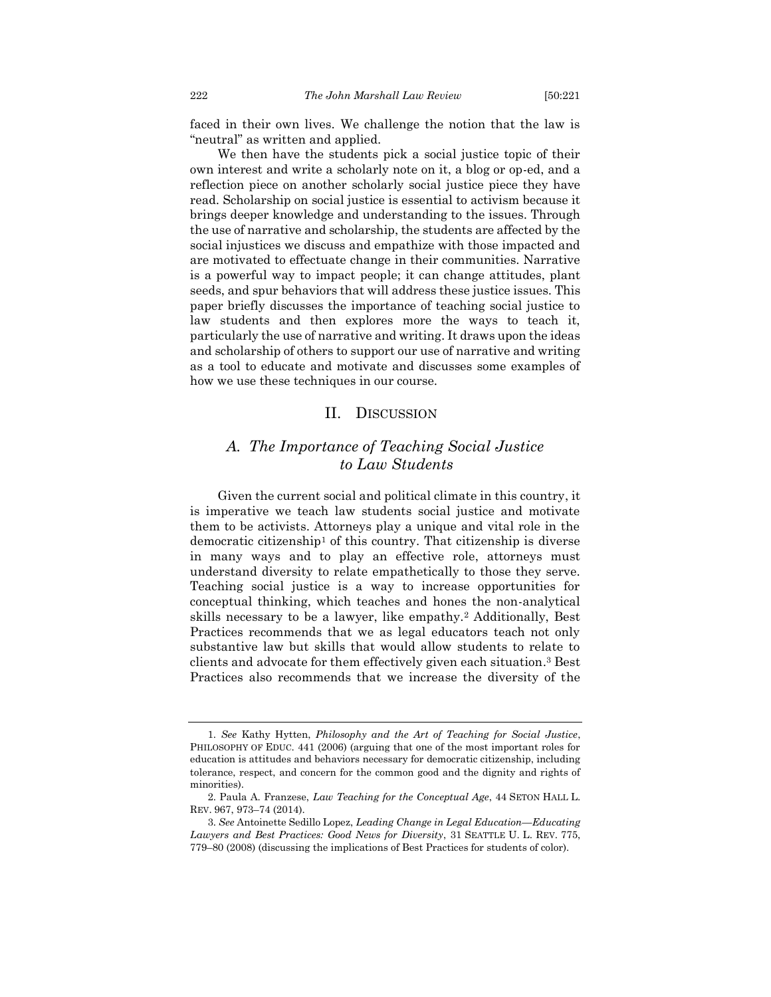faced in their own lives. We challenge the notion that the law is "neutral" as written and applied.

We then have the students pick a social justice topic of their own interest and write a scholarly note on it, a blog or op-ed, and a reflection piece on another scholarly social justice piece they have read. Scholarship on social justice is essential to activism because it brings deeper knowledge and understanding to the issues. Through the use of narrative and scholarship, the students are affected by the social injustices we discuss and empathize with those impacted and are motivated to effectuate change in their communities. Narrative is a powerful way to impact people; it can change attitudes, plant seeds, and spur behaviors that will address these justice issues. This paper briefly discusses the importance of teaching social justice to law students and then explores more the ways to teach it, particularly the use of narrative and writing. It draws upon the ideas and scholarship of others to support our use of narrative and writing as a tool to educate and motivate and discusses some examples of how we use these techniques in our course.

#### II. DISCUSSION

## <span id="page-2-1"></span><span id="page-2-0"></span>*A. The Importance of Teaching Social Justice to Law Students*

Given the current social and political climate in this country, it is imperative we teach law students social justice and motivate them to be activists. Attorneys play a unique and vital role in the democratic citizenship<sup>1</sup> of this country. That citizenship is diverse in many ways and to play an effective role, attorneys must understand diversity to relate empathetically to those they serve. Teaching social justice is a way to increase opportunities for conceptual thinking, which teaches and hones the non-analytical skills necessary to be a lawyer, like empathy.<sup>2</sup> Additionally, Best Practices recommends that we as legal educators teach not only substantive law but skills that would allow students to relate to clients and advocate for them effectively given each situation. <sup>3</sup> Best Practices also recommends that we increase the diversity of the

<sup>1.</sup> *See* Kathy Hytten, *Philosophy and the Art of Teaching for Social Justice*, PHILOSOPHY OF EDUC. 441 (2006) (arguing that one of the most important roles for education is attitudes and behaviors necessary for democratic citizenship, including tolerance, respect, and concern for the common good and the dignity and rights of minorities).

<sup>2.</sup> Paula A. Franzese, *Law Teaching for the Conceptual Age*, 44 SETON HALL L. REV. 967, 973–74 (2014).

<sup>3.</sup> *See* Antoinette Sedillo Lopez, *Leading Change in Legal Education—Educating Lawyers and Best Practices: Good News for Diversity*, 31 SEATTLE U. L. REV. 775, 779–80 (2008) (discussing the implications of Best Practices for students of color).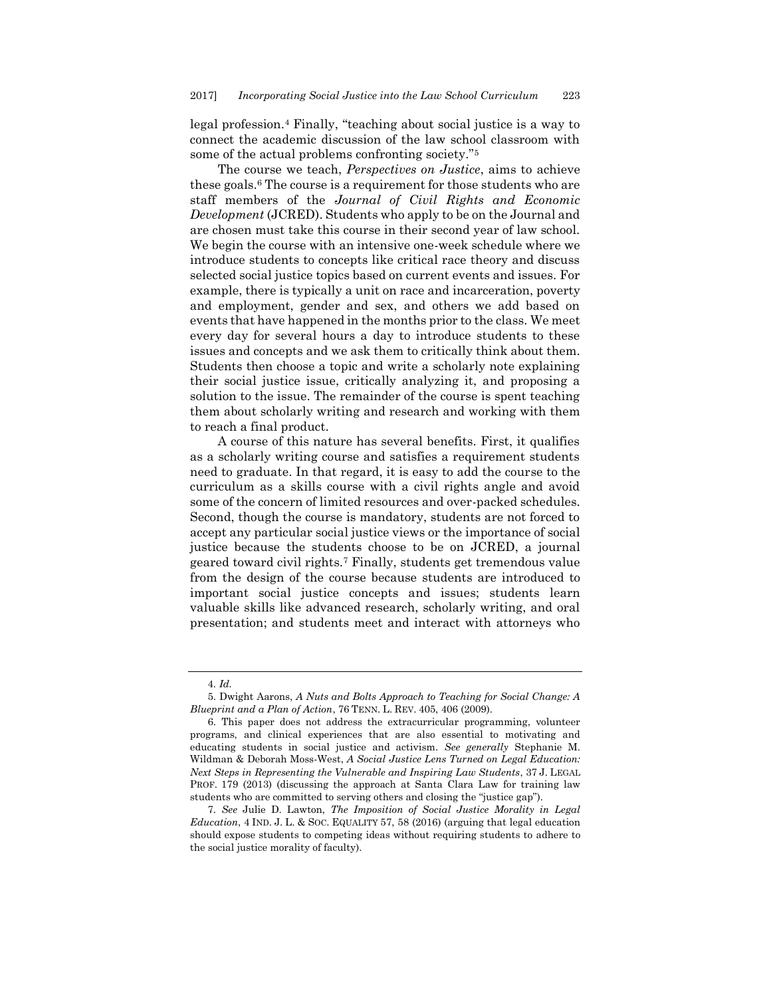legal profession.<sup>4</sup> Finally, "teaching about social justice is a way to connect the academic discussion of the law school classroom with some of the actual problems confronting society."<sup>5</sup>

The course we teach, *Perspectives on Justice*, aims to achieve these goals.<sup>6</sup> The course is a requirement for those students who are staff members of the *Journal of Civil Rights and Economic Development* (JCRED). Students who apply to be on the Journal and are chosen must take this course in their second year of law school. We begin the course with an intensive one-week schedule where we introduce students to concepts like critical race theory and discuss selected social justice topics based on current events and issues. For example, there is typically a unit on race and incarceration, poverty and employment, gender and sex, and others we add based on events that have happened in the months prior to the class. We meet every day for several hours a day to introduce students to these issues and concepts and we ask them to critically think about them. Students then choose a topic and write a scholarly note explaining their social justice issue, critically analyzing it, and proposing a solution to the issue. The remainder of the course is spent teaching them about scholarly writing and research and working with them to reach a final product.

A course of this nature has several benefits. First, it qualifies as a scholarly writing course and satisfies a requirement students need to graduate. In that regard, it is easy to add the course to the curriculum as a skills course with a civil rights angle and avoid some of the concern of limited resources and over-packed schedules. Second, though the course is mandatory, students are not forced to accept any particular social justice views or the importance of social justice because the students choose to be on JCRED, a journal geared toward civil rights.<sup>7</sup> Finally, students get tremendous value from the design of the course because students are introduced to important social justice concepts and issues; students learn valuable skills like advanced research, scholarly writing, and oral presentation; and students meet and interact with attorneys who

<sup>4.</sup> *Id.*

<sup>5.</sup> Dwight Aarons, *A Nuts and Bolts Approach to Teaching for Social Change: A Blueprint and a Plan of Action*, 76 TENN. L. REV. 405, 406 (2009).

<sup>6.</sup> This paper does not address the extracurricular programming, volunteer programs, and clinical experiences that are also essential to motivating and educating students in social justice and activism. *See generally* Stephanie M. Wildman & Deborah Moss-West, *A Social Justice Lens Turned on Legal Education: Next Steps in Representing the Vulnerable and Inspiring Law Students*, 37 J. LEGAL PROF. 179 (2013) (discussing the approach at Santa Clara Law for training law students who are committed to serving others and closing the "justice gap").

<sup>7.</sup> *See* Julie D. Lawton, *The Imposition of Social Justice Morality in Legal Education*, 4 IND. J. L. & SOC. EQUALITY 57, 58 (2016) (arguing that legal education should expose students to competing ideas without requiring students to adhere to the social justice morality of faculty).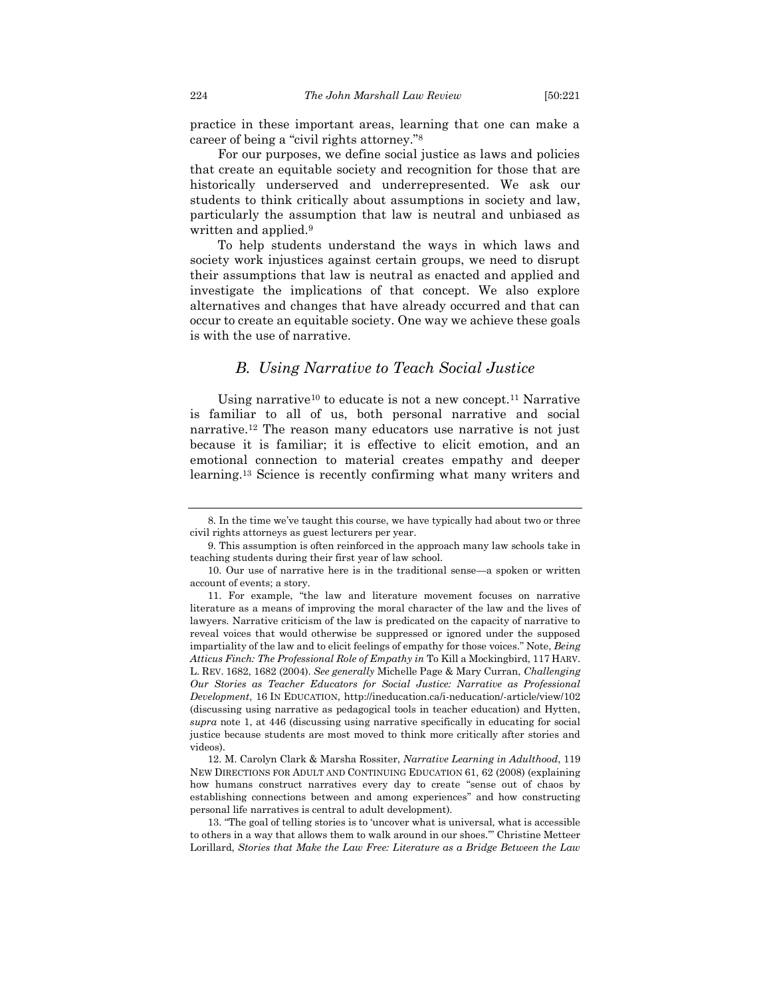practice in these important areas, learning that one can make a career of being a "civil rights attorney." 8

For our purposes, we define social justice as laws and policies that create an equitable society and recognition for those that are historically underserved and underrepresented. We ask our students to think critically about assumptions in society and law, particularly the assumption that law is neutral and unbiased as written and applied.<sup>9</sup>

To help students understand the ways in which laws and society work injustices against certain groups, we need to disrupt their assumptions that law is neutral as enacted and applied and investigate the implications of that concept. We also explore alternatives and changes that have already occurred and that can occur to create an equitable society. One way we achieve these goals is with the use of narrative.

#### *B. Using Narrative to Teach Social Justice*

<span id="page-4-0"></span>Using narrative<sup>10</sup> to educate is not a new concept.<sup>11</sup> Narrative is familiar to all of us, both personal narrative and social narrative.<sup>12</sup> The reason many educators use narrative is not just because it is familiar; it is effective to elicit emotion, and an emotional connection to material creates empathy and deeper learning.<sup>13</sup> Science is recently confirming what many writers and

<sup>8.</sup> In the time we've taught this course, we have typically had about two or three civil rights attorneys as guest lecturers per year.

<sup>9.</sup> This assumption is often reinforced in the approach many law schools take in teaching students during their first year of law school.

<sup>10.</sup> Our use of narrative here is in the traditional sense—a spoken or written account of events; a story.

<sup>11.</sup> For example, "the law and literature movement focuses on narrative literature as a means of improving the moral character of the law and the lives of lawyers. Narrative criticism of the law is predicated on the capacity of narrative to reveal voices that would otherwise be suppressed or ignored under the supposed impartiality of the law and to elicit feelings of empathy for those voices." Note, *Being Atticus Finch: The Professional Role of Empathy in* To Kill a Mockingbird, 117 HARV. L. REV. 1682, 1682 (2004). *See generally* Michelle Page & Mary Curran, *Challenging Our Stories as Teacher Educators for Social Justice: Narrative as Professional Development*, 16 IN EDUCATION, http://ineducation.ca/i-neducation/-article/view/102 (discussing using narrative as pedagogical tools in teacher education) and Hytten, *supra* note 1, at 446 (discussing using narrative specifically in educating for social justice because students are most moved to think more critically after stories and videos).

<sup>12.</sup> M. Carolyn Clark & Marsha Rossiter, *Narrative Learning in Adulthood*, 119 NEW DIRECTIONS FOR ADULT AND CONTINUING EDUCATION 61, 62 (2008) (explaining how humans construct narratives every day to create "sense out of chaos by establishing connections between and among experiences" and how constructing personal life narratives is central to adult development).

<sup>13.</sup> "The goal of telling stories is to 'uncover what is universal, what is accessible to others in a way that allows them to walk around in our shoes.'" Christine Metteer Lorillard, *Stories that Make the Law Free: Literature as a Bridge Between the Law*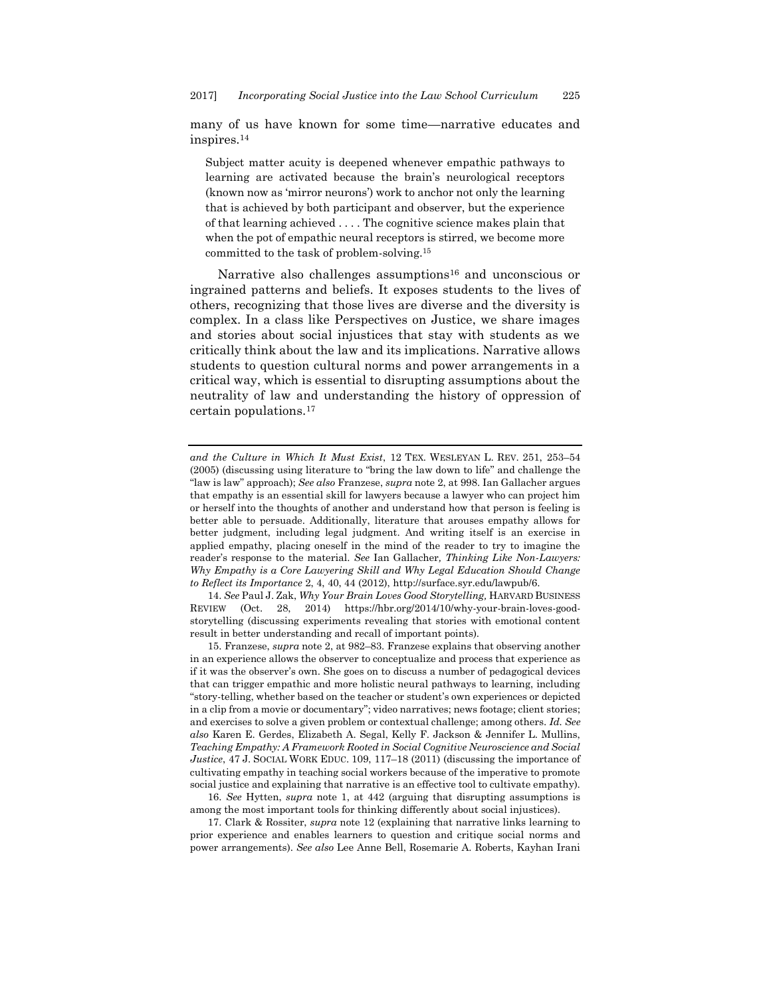many of us have known for some time—narrative educates and inspires.<sup>14</sup>

Subject matter acuity is deepened whenever empathic pathways to learning are activated because the brain's neurological receptors (known now as 'mirror neurons') work to anchor not only the learning that is achieved by both participant and observer, but the experience of that learning achieved . . . . The cognitive science makes plain that when the pot of empathic neural receptors is stirred, we become more committed to the task of problem-solving.<sup>15</sup>

Narrative also challenges assumptions<sup>16</sup> and unconscious or ingrained patterns and beliefs. It exposes students to the lives of others, recognizing that those lives are diverse and the diversity is complex. In a class like Perspectives on Justice, we share images and stories about social injustices that stay with students as we critically think about the law and its implications. Narrative allows students to question cultural norms and power arrangements in a critical way, which is essential to disrupting assumptions about the neutrality of law and understanding the history of oppression of certain populations.<sup>17</sup>

14. *See* Paul J. Zak, *Why Your Brain Loves Good Storytelling,* HARVARD BUSINESS REVIEW (Oct. 28, 2014) https://hbr.org/2014/10/why-your-brain-loves-goodstorytelling (discussing experiments revealing that stories with emotional content result in better understanding and recall of important points).

15. Franzese, *supra* note 2, at 982–83. Franzese explains that observing another in an experience allows the observer to conceptualize and process that experience as if it was the observer's own. She goes on to discuss a number of pedagogical devices that can trigger empathic and more holistic neural pathways to learning, including "story-telling, whether based on the teacher or student's own experiences or depicted in a clip from a movie or documentary"; video narratives; news footage; client stories; and exercises to solve a given problem or contextual challenge; among others. *Id. See also* Karen E. Gerdes, Elizabeth A. Segal, Kelly F. Jackson & Jennifer L. Mullins, *Teaching Empathy: A Framework Rooted in Social Cognitive Neuroscience and Social Justice*, 47 J. SOCIAL WORK EDUC. 109, 117–18 (2011) (discussing the importance of cultivating empathy in teaching social workers because of the imperative to promote social justice and explaining that narrative is an effective tool to cultivate empathy).

16. *See* Hytten, *supra* note 1, at 442 (arguing that disrupting assumptions is among the most important tools for thinking differently about social injustices).

17. Clark & Rossiter, *supra* note 12 (explaining that narrative links learning to prior experience and enables learners to question and critique social norms and power arrangements). *See also* Lee Anne Bell, Rosemarie A. Roberts, Kayhan Irani

*and the Culture in Which It Must Exist*, 12 TEX. WESLEYAN L. REV. 251, 253–54 (2005) (discussing using literature to "bring the law down to life" and challenge the "law is law" approach); *See also* Franzese, *supra* note 2, at 998. Ian Gallacher argues that empathy is an essential skill for lawyers because a lawyer who can project him or herself into the thoughts of another and understand how that person is feeling is better able to persuade. Additionally, literature that arouses empathy allows for better judgment, including legal judgment. And writing itself is an exercise in applied empathy, placing oneself in the mind of the reader to try to imagine the reader's response to the material. *See* Ian Gallacher*, Thinking Like Non-Lawyers: Why Empathy is a Core Lawyering Skill and Why Legal Education Should Change to Reflect its Importance* 2, 4, 40, 44 (2012), http://surface.syr.edu/lawpub/6.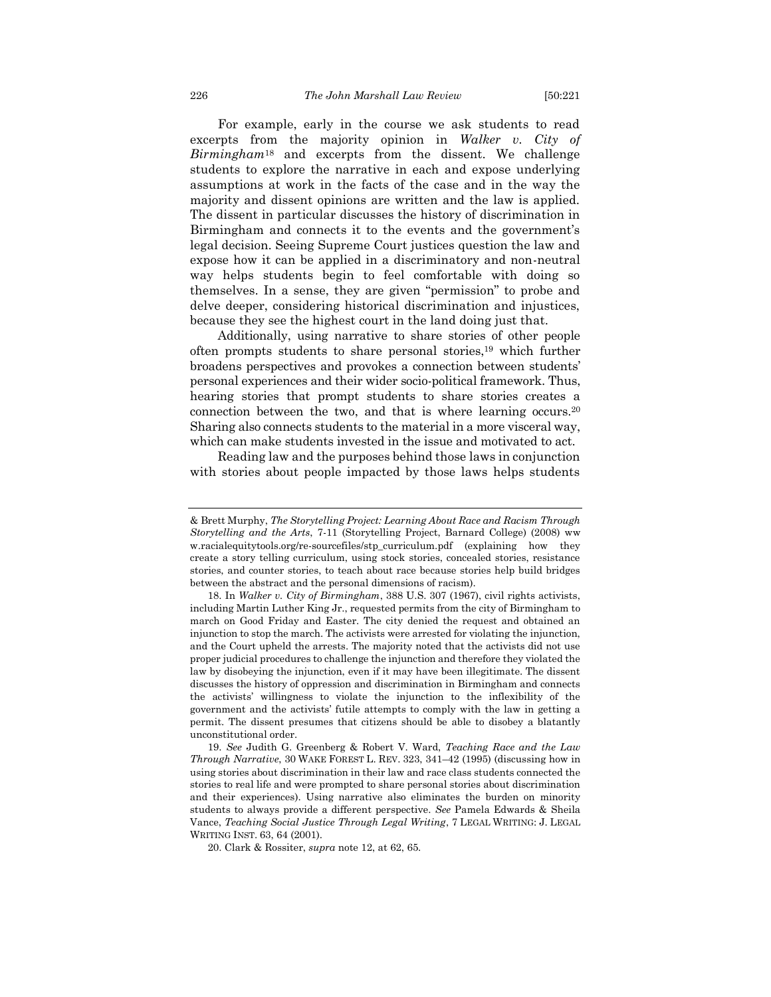For example, early in the course we ask students to read excerpts from the majority opinion in *Walker v. City of Birmingham*<sup>18</sup> and excerpts from the dissent. We challenge students to explore the narrative in each and expose underlying assumptions at work in the facts of the case and in the way the majority and dissent opinions are written and the law is applied. The dissent in particular discusses the history of discrimination in Birmingham and connects it to the events and the government's legal decision. Seeing Supreme Court justices question the law and expose how it can be applied in a discriminatory and non-neutral way helps students begin to feel comfortable with doing so themselves. In a sense, they are given "permission" to probe and delve deeper, considering historical discrimination and injustices, because they see the highest court in the land doing just that.

Additionally, using narrative to share stories of other people often prompts students to share personal stories,<sup>19</sup> which further broadens perspectives and provokes a connection between students' personal experiences and their wider socio-political framework. Thus, hearing stories that prompt students to share stories creates a connection between the two, and that is where learning occurs.<sup>20</sup> Sharing also connects students to the material in a more visceral way, which can make students invested in the issue and motivated to act.

Reading law and the purposes behind those laws in conjunction with stories about people impacted by those laws helps students

<sup>&</sup>amp; Brett Murphy, *The Storytelling Project: Learning About Race and Racism Through Storytelling and the Arts*, 7-11 (Storytelling Project, Barnard College) (2008) ww w.racialequitytools.org/re-sourcefiles/stp\_curriculum.pdf (explaining how they create a story telling curriculum, using stock stories, concealed stories, resistance stories, and counter stories, to teach about race because stories help build bridges between the abstract and the personal dimensions of racism).

<sup>18.</sup> In *Walker v. City of Birmingham*, 388 U.S. 307 (1967), civil rights activists, including Martin Luther King Jr., requested permits from the city of Birmingham to march on Good Friday and Easter. The city denied the request and obtained an injunction to stop the march. The activists were arrested for violating the injunction, and the Court upheld the arrests. The majority noted that the activists did not use proper judicial procedures to challenge the injunction and therefore they violated the law by disobeying the injunction, even if it may have been illegitimate. The dissent discusses the history of oppression and discrimination in Birmingham and connects the activists' willingness to violate the injunction to the inflexibility of the government and the activists' futile attempts to comply with the law in getting a permit. The dissent presumes that citizens should be able to disobey a blatantly unconstitutional order.

<sup>19.</sup> *See* Judith G. Greenberg & Robert V. Ward, *Teaching Race and the Law Through Narrative*, 30 WAKE FOREST L. REV. 323, 341–42 (1995) (discussing how in using stories about discrimination in their law and race class students connected the stories to real life and were prompted to share personal stories about discrimination and their experiences). Using narrative also eliminates the burden on minority students to always provide a different perspective. *See* Pamela Edwards & Sheila Vance, *Teaching Social Justice Through Legal Writing*, 7 LEGAL WRITING: J. LEGAL WRITING INST. 63, 64 (2001).

<sup>20.</sup> Clark & Rossiter, *supra* note 12, at 62, 65.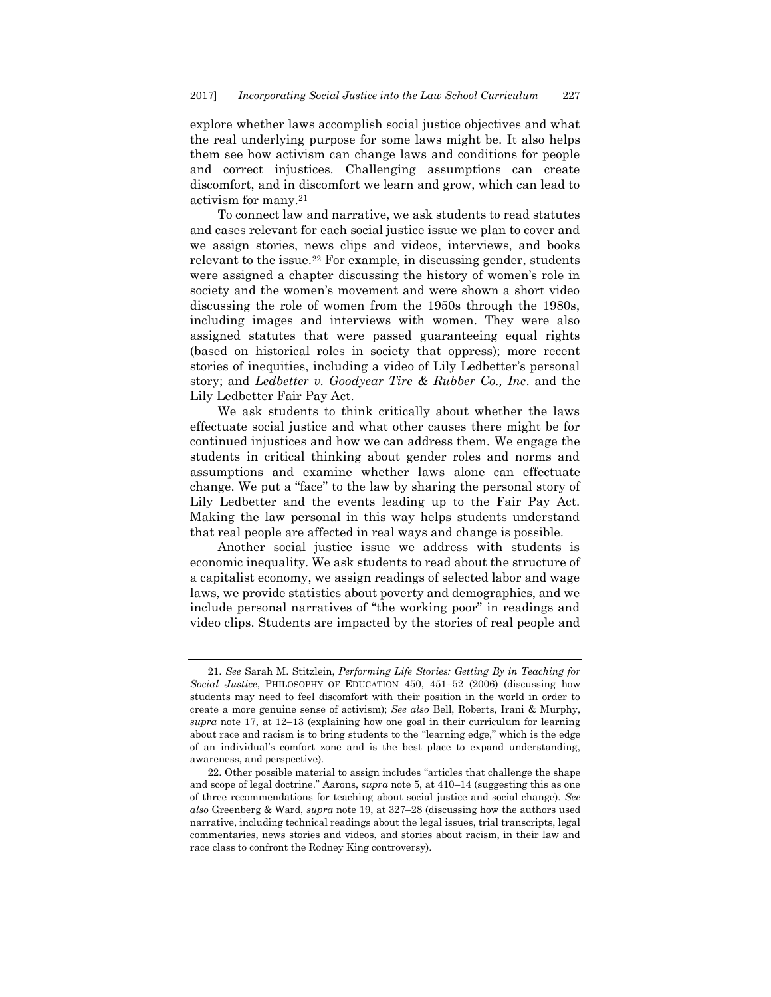explore whether laws accomplish social justice objectives and what the real underlying purpose for some laws might be. It also helps them see how activism can change laws and conditions for people and correct injustices. Challenging assumptions can create discomfort, and in discomfort we learn and grow, which can lead to activism for many.<sup>21</sup>

To connect law and narrative, we ask students to read statutes and cases relevant for each social justice issue we plan to cover and we assign stories, news clips and videos, interviews, and books relevant to the issue.<sup>22</sup> For example, in discussing gender, students were assigned a chapter discussing the history of women's role in society and the women's movement and were shown a short video discussing the role of women from the 1950s through the 1980s, including images and interviews with women. They were also assigned statutes that were passed guaranteeing equal rights (based on historical roles in society that oppress); more recent stories of inequities, including a video of Lily Ledbetter's personal story; and *Ledbetter v. Goodyear Tire & Rubber Co., Inc*. and the Lily Ledbetter Fair Pay Act.

We ask students to think critically about whether the laws effectuate social justice and what other causes there might be for continued injustices and how we can address them. We engage the students in critical thinking about gender roles and norms and assumptions and examine whether laws alone can effectuate change. We put a "face" to the law by sharing the personal story of Lily Ledbetter and the events leading up to the Fair Pay Act. Making the law personal in this way helps students understand that real people are affected in real ways and change is possible.

Another social justice issue we address with students is economic inequality. We ask students to read about the structure of a capitalist economy, we assign readings of selected labor and wage laws, we provide statistics about poverty and demographics, and we include personal narratives of "the working poor" in readings and video clips. Students are impacted by the stories of real people and

<sup>21.</sup> *See* Sarah M. Stitzlein, *Performing Life Stories: Getting By in Teaching for Social Justice*, PHILOSOPHY OF EDUCATION 450, 451–52 (2006) (discussing how students may need to feel discomfort with their position in the world in order to create a more genuine sense of activism); *See also* Bell, Roberts, Irani & Murphy, *supra* note 17, at 12–13 (explaining how one goal in their curriculum for learning about race and racism is to bring students to the "learning edge," which is the edge of an individual's comfort zone and is the best place to expand understanding, awareness, and perspective).

<sup>22.</sup> Other possible material to assign includes "articles that challenge the shape and scope of legal doctrine." Aarons, *supra* note 5, at 410–14 (suggesting this as one of three recommendations for teaching about social justice and social change). *See also* Greenberg & Ward, *supra* note 19, at 327–28 (discussing how the authors used narrative, including technical readings about the legal issues, trial transcripts, legal commentaries, news stories and videos, and stories about racism, in their law and race class to confront the Rodney King controversy).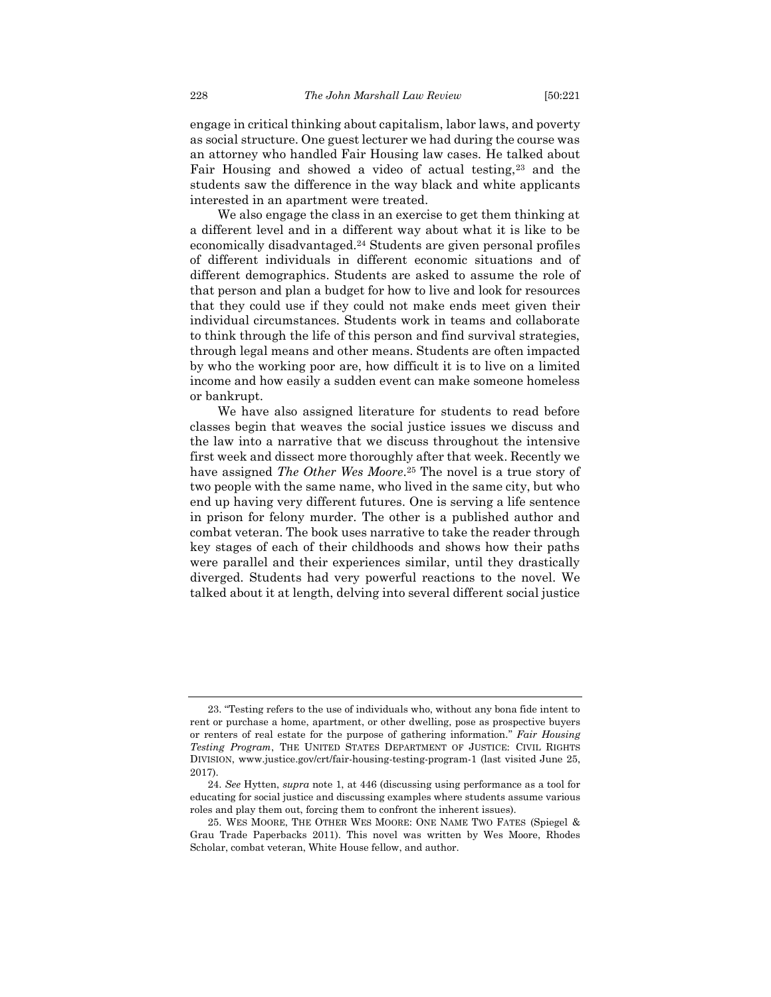engage in critical thinking about capitalism, labor laws, and poverty as social structure. One guest lecturer we had during the course was an attorney who handled Fair Housing law cases. He talked about Fair Housing and showed a video of actual testing,<sup>23</sup> and the students saw the difference in the way black and white applicants interested in an apartment were treated.

We also engage the class in an exercise to get them thinking at a different level and in a different way about what it is like to be economically disadvantaged.<sup>24</sup> Students are given personal profiles of different individuals in different economic situations and of different demographics. Students are asked to assume the role of that person and plan a budget for how to live and look for resources that they could use if they could not make ends meet given their individual circumstances. Students work in teams and collaborate to think through the life of this person and find survival strategies, through legal means and other means. Students are often impacted by who the working poor are, how difficult it is to live on a limited income and how easily a sudden event can make someone homeless or bankrupt.

We have also assigned literature for students to read before classes begin that weaves the social justice issues we discuss and the law into a narrative that we discuss throughout the intensive first week and dissect more thoroughly after that week. Recently we have assigned *The Other Wes Moore*. <sup>25</sup> The novel is a true story of two people with the same name, who lived in the same city, but who end up having very different futures. One is serving a life sentence in prison for felony murder. The other is a published author and combat veteran. The book uses narrative to take the reader through key stages of each of their childhoods and shows how their paths were parallel and their experiences similar, until they drastically diverged. Students had very powerful reactions to the novel. We talked about it at length, delving into several different social justice

<sup>23.</sup> "Testing refers to the use of individuals who, without any bona fide intent to rent or purchase a home, apartment, or other dwelling, pose as prospective buyers or renters of real estate for the purpose of gathering information." *Fair Housing Testing Program*, THE UNITED STATES DEPARTMENT OF JUSTICE: CIVIL RIGHTS DIVISION, www.justice.gov/crt/fair-housing-testing-program-1 (last visited June 25, 2017).

<sup>24.</sup> *See* Hytten, *supra* note 1, at 446 (discussing using performance as a tool for educating for social justice and discussing examples where students assume various roles and play them out, forcing them to confront the inherent issues).

<sup>25.</sup> WES MOORE, THE OTHER WES MOORE: ONE NAME TWO FATES (Spiegel & Grau Trade Paperbacks 2011). This novel was written by Wes Moore, Rhodes Scholar, combat veteran, White House fellow, and author.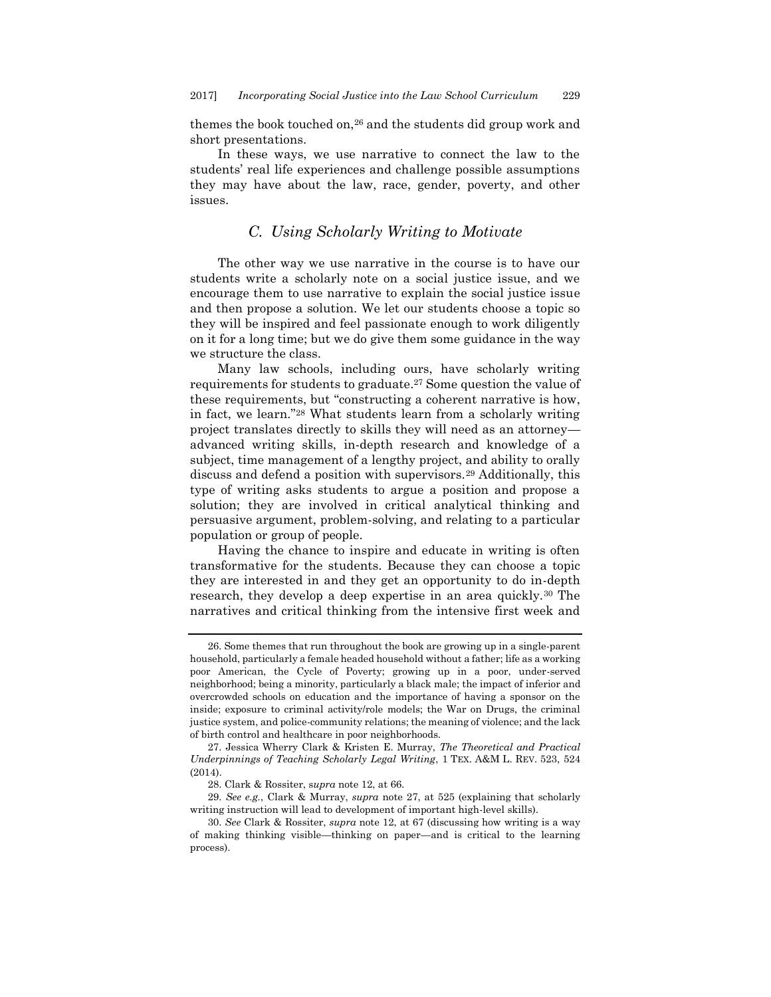themes the book touched on,<sup>26</sup> and the students did group work and short presentations.

In these ways, we use narrative to connect the law to the students' real life experiences and challenge possible assumptions they may have about the law, race, gender, poverty, and other issues.

### *C. Using Scholarly Writing to Motivate*

<span id="page-9-0"></span>The other way we use narrative in the course is to have our students write a scholarly note on a social justice issue, and we encourage them to use narrative to explain the social justice issue and then propose a solution. We let our students choose a topic so they will be inspired and feel passionate enough to work diligently on it for a long time; but we do give them some guidance in the way we structure the class.

Many law schools, including ours, have scholarly writing requirements for students to graduate.<sup>27</sup> Some question the value of these requirements, but "constructing a coherent narrative is how, in fact, we learn."<sup>28</sup> What students learn from a scholarly writing project translates directly to skills they will need as an attorney advanced writing skills, in-depth research and knowledge of a subject, time management of a lengthy project, and ability to orally discuss and defend a position with supervisors.<sup>29</sup> Additionally, this type of writing asks students to argue a position and propose a solution; they are involved in critical analytical thinking and persuasive argument, problem-solving, and relating to a particular population or group of people.

Having the chance to inspire and educate in writing is often transformative for the students. Because they can choose a topic they are interested in and they get an opportunity to do in-depth research, they develop a deep expertise in an area quickly.<sup>30</sup> The narratives and critical thinking from the intensive first week and

<sup>26.</sup> Some themes that run throughout the book are growing up in a single-parent household, particularly a female headed household without a father; life as a working poor American, the Cycle of Poverty; growing up in a poor, under-served neighborhood; being a minority, particularly a black male; the impact of inferior and overcrowded schools on education and the importance of having a sponsor on the inside; exposure to criminal activity/role models; the War on Drugs, the criminal justice system, and police-community relations; the meaning of violence; and the lack of birth control and healthcare in poor neighborhoods.

<sup>27.</sup> Jessica Wherry Clark & Kristen E. Murray, *The Theoretical and Practical Underpinnings of Teaching Scholarly Legal Writing*, 1 TEX. A&M L. REV. 523, 524 (2014).

<sup>28.</sup> Clark & Rossiter, s*upra* note 12, at 66.

<sup>29.</sup> *See e.g.*, Clark & Murray, *supra* note 27, at 525 (explaining that scholarly writing instruction will lead to development of important high-level skills).

<sup>30.</sup> *See* Clark & Rossiter, *supra* note 12, at 67 (discussing how writing is a way of making thinking visible—thinking on paper—and is critical to the learning process).